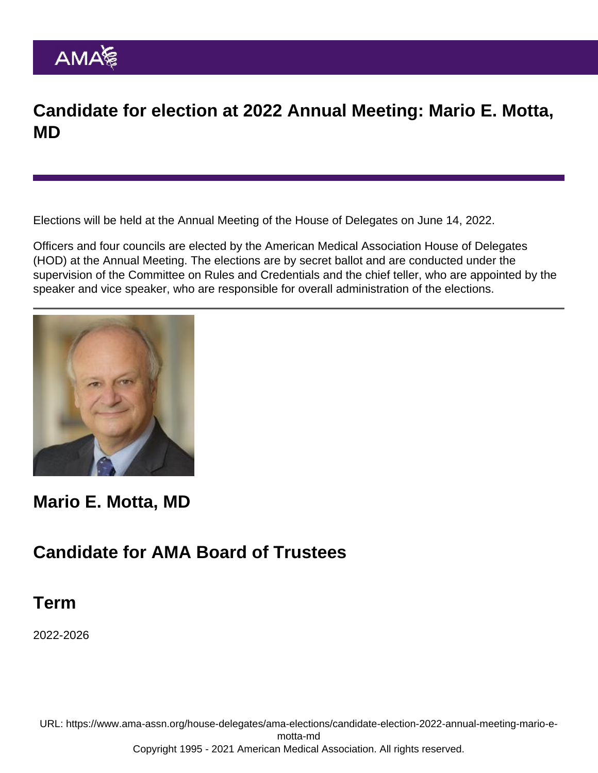### Candidate for election at 2022 Annual Meeting: Mario E. Motta, MD

Elections will be held at the [Annual Meeting of the House of Delegates](https://www.ama-assn.org/house-delegates/annual-meeting) on June 14, 2022.

Officers and four councils are elected by the American Medical Association House of Delegates (HOD) at the Annual Meeting. The elections are by secret ballot and are conducted under the supervision of the Committee on Rules and Credentials and the chief teller, who are appointed by the speaker and vice speaker, who are responsible for overall administration of the elections.

Mario E. Motta, MD

#### Candidate for AMA Board of Trustees

Term

2022-2026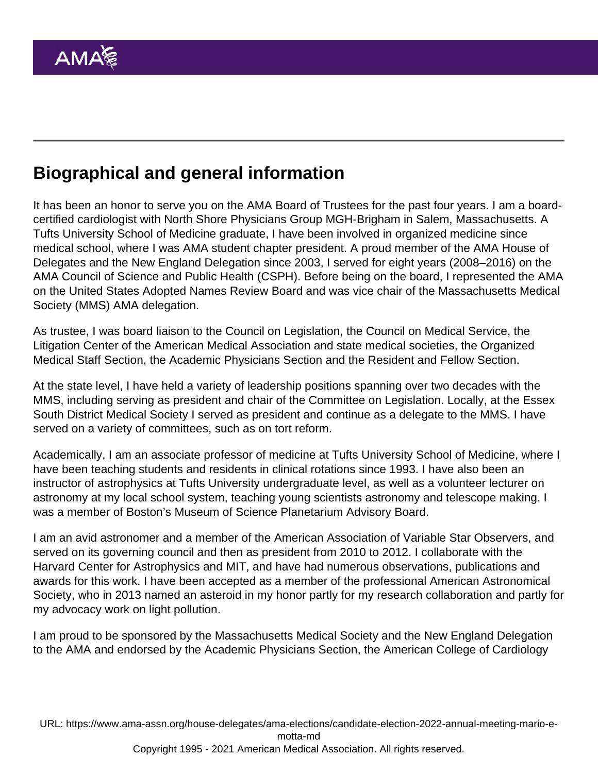# Biographical and general information

It has been an honor to serve you on the AMA Board of Trustees for the past four years. I am a boardcertified cardiologist with North Shore Physicians Group MGH-Brigham in Salem, Massachusetts. A Tufts University School of Medicine graduate, I have been involved in organized medicine since medical school, where I was AMA student chapter president. A proud member of the AMA House of Delegates and the New England Delegation since 2003, I served for eight years (2008–2016) on the AMA Council of Science and Public Health (CSPH). Before being on the board, I represented the AMA on the United States Adopted Names Review Board and was vice chair of the Massachusetts Medical Society (MMS) AMA delegation.

As trustee, I was board liaison to the Council on Legislation, the Council on Medical Service, the Litigation Center of the American Medical Association and state medical societies, the Organized Medical Staff Section, the Academic Physicians Section and the Resident and Fellow Section.

At the state level, I have held a variety of leadership positions spanning over two decades with the MMS, including serving as president and chair of the Committee on Legislation. Locally, at the Essex South District Medical Society I served as president and continue as a delegate to the MMS. I have served on a variety of committees, such as on tort reform.

Academically, I am an associate professor of medicine at Tufts University School of Medicine, where I have been teaching students and residents in clinical rotations since 1993. I have also been an instructor of astrophysics at Tufts University undergraduate level, as well as a volunteer lecturer on astronomy at my local school system, teaching young scientists astronomy and telescope making. I was a member of Boston's Museum of Science Planetarium Advisory Board.

I am an avid astronomer and a member of the American Association of Variable Star Observers, and served on its governing council and then as president from 2010 to 2012. I collaborate with the Harvard Center for Astrophysics and MIT, and have had numerous observations, publications and awards for this work. I have been accepted as a member of the professional American Astronomical Society, who in 2013 named an asteroid in my honor partly for my research collaboration and partly for my advocacy work on light pollution.

I am proud to be sponsored by the Massachusetts Medical Society and the New England Delegation to the AMA and endorsed by the Academic Physicians Section, the American College of Cardiology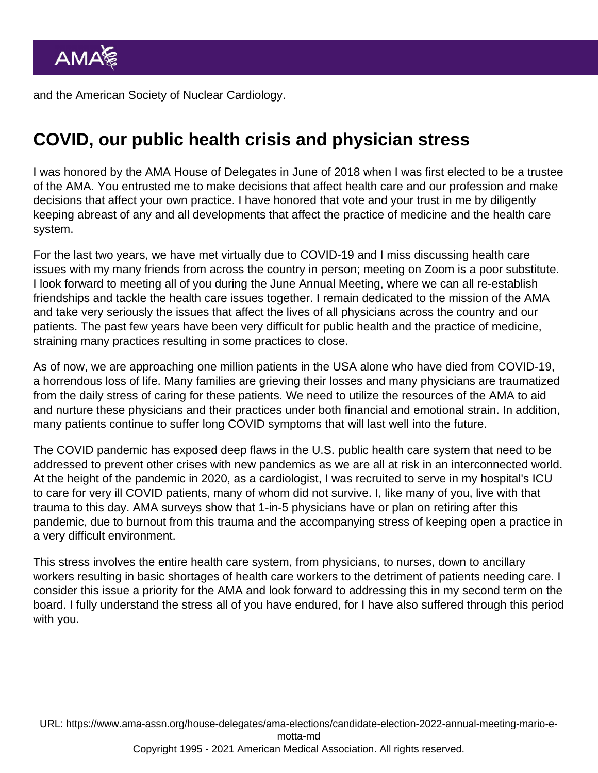and the American Society of Nuclear Cardiology.

### COVID, our public health crisis and physician stress

I was honored by the AMA House of Delegates in June of 2018 when I was first elected to be a trustee of the AMA. You entrusted me to make decisions that affect health care and our profession and make decisions that affect your own practice. I have honored that vote and your trust in me by diligently keeping abreast of any and all developments that affect the practice of medicine and the health care system.

For the last two years, we have met virtually due to COVID-19 and I miss discussing health care issues with my many friends from across the country in person; meeting on Zoom is a poor substitute. I look forward to meeting all of you during the June Annual Meeting, where we can all re-establish friendships and tackle the health care issues together. I remain dedicated to the mission of the AMA and take very seriously the issues that affect the lives of all physicians across the country and our patients. The past few years have been very difficult for public health and the practice of medicine, straining many practices resulting in some practices to close.

As of now, we are approaching one million patients in the USA alone who have died from COVID-19, a horrendous loss of life. Many families are grieving their losses and many physicians are traumatized from the daily stress of caring for these patients. We need to utilize the resources of the AMA to aid and nurture these physicians and their practices under both financial and emotional strain. In addition, many patients continue to suffer long COVID symptoms that will last well into the future.

The COVID pandemic has exposed deep flaws in the U.S. public health care system that need to be addressed to prevent other crises with new pandemics as we are all at risk in an interconnected world. At the height of the pandemic in 2020, as a cardiologist, I was recruited to serve in my hospital's ICU to care for very ill COVID patients, many of whom did not survive. I, like many of you, live with that trauma to this day. AMA surveys show that 1-in-5 physicians have or plan on retiring after this pandemic, due to burnout from this trauma and the accompanying stress of keeping open a practice in a very difficult environment.

This stress involves the entire health care system, from physicians, to nurses, down to ancillary workers resulting in basic shortages of health care workers to the detriment of patients needing care. I consider this issue a priority for the AMA and look forward to addressing this in my second term on the board. I fully understand the stress all of you have endured, for I have also suffered through this period with you.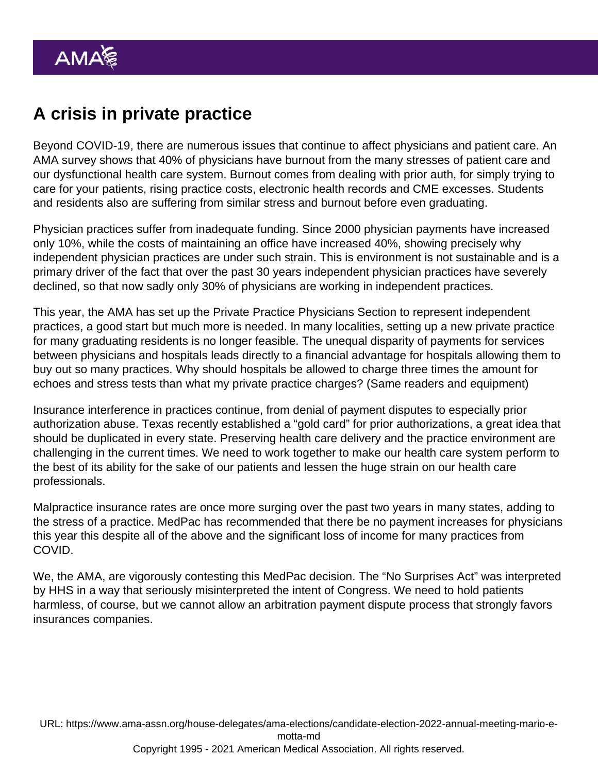# A crisis in private practice

Beyond COVID-19, there are numerous issues that continue to affect physicians and patient care. An AMA survey shows that 40% of physicians have burnout from the many stresses of patient care and our dysfunctional health care system. Burnout comes from dealing with prior auth, for simply trying to care for your patients, rising practice costs, electronic health records and CME excesses. Students and residents also are suffering from similar stress and burnout before even graduating.

Physician practices suffer from inadequate funding. Since 2000 physician payments have increased only 10%, while the costs of maintaining an office have increased 40%, showing precisely why independent physician practices are under such strain. This is environment is not sustainable and is a primary driver of the fact that over the past 30 years independent physician practices have severely declined, so that now sadly only 30% of physicians are working in independent practices.

This year, the AMA has set up the Private Practice Physicians Section to represent independent practices, a good start but much more is needed. In many localities, setting up a new private practice for many graduating residents is no longer feasible. The unequal disparity of payments for services between physicians and hospitals leads directly to a financial advantage for hospitals allowing them to buy out so many practices. Why should hospitals be allowed to charge three times the amount for echoes and stress tests than what my private practice charges? (Same readers and equipment)

Insurance interference in practices continue, from denial of payment disputes to especially prior authorization abuse. Texas recently established a "gold card" for prior authorizations, a great idea that should be duplicated in every state. Preserving health care delivery and the practice environment are challenging in the current times. We need to work together to make our health care system perform to the best of its ability for the sake of our patients and lessen the huge strain on our health care professionals.

Malpractice insurance rates are once more surging over the past two years in many states, adding to the stress of a practice. MedPac has recommended that there be no payment increases for physicians this year this despite all of the above and the significant loss of income for many practices from COVID.

We, the AMA, are vigorously contesting this MedPac decision. The "No Surprises Act" was interpreted by HHS in a way that seriously misinterpreted the intent of Congress. We need to hold patients harmless, of course, but we cannot allow an arbitration payment dispute process that strongly favors insurances companies.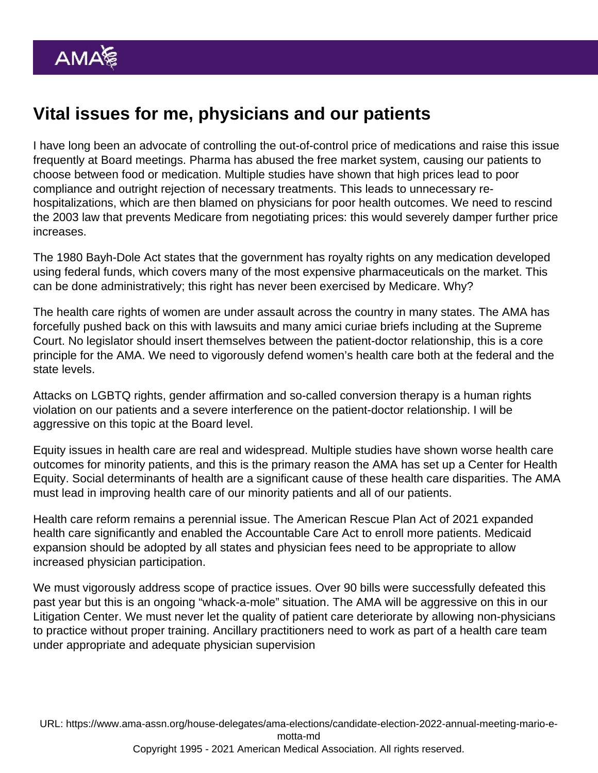# Vital issues for me, physicians and our patients

I have long been an advocate of controlling the out-of-control price of medications and raise this issue frequently at Board meetings. Pharma has abused the free market system, causing our patients to choose between food or medication. Multiple studies have shown that high prices lead to poor compliance and outright rejection of necessary treatments. This leads to unnecessary rehospitalizations, which are then blamed on physicians for poor health outcomes. We need to rescind the 2003 law that prevents Medicare from negotiating prices: this would severely damper further price increases.

The 1980 Bayh-Dole Act states that the government has royalty rights on any medication developed using federal funds, which covers many of the most expensive pharmaceuticals on the market. This can be done administratively; this right has never been exercised by Medicare. Why?

The health care rights of women are under assault across the country in many states. The AMA has forcefully pushed back on this with lawsuits and many amici curiae briefs including at the Supreme Court. No legislator should insert themselves between the patient-doctor relationship, this is a core principle for the AMA. We need to vigorously defend women's health care both at the federal and the state levels.

Attacks on LGBTQ rights, gender affirmation and so-called conversion therapy is a human rights violation on our patients and a severe interference on the patient-doctor relationship. I will be aggressive on this topic at the Board level.

Equity issues in health care are real and widespread. Multiple studies have shown worse health care outcomes for minority patients, and this is the primary reason the AMA has set up a Center for Health Equity. Social determinants of health are a significant cause of these health care disparities. The AMA must lead in improving health care of our minority patients and all of our patients.

Health care reform remains a perennial issue. The American Rescue Plan Act of 2021 expanded health care significantly and enabled the Accountable Care Act to enroll more patients. Medicaid expansion should be adopted by all states and physician fees need to be appropriate to allow increased physician participation.

We must vigorously address scope of practice issues. Over 90 bills were successfully defeated this past year but this is an ongoing "whack-a-mole" situation. The AMA will be aggressive on this in our Litigation Center. We must never let the quality of patient care deteriorate by allowing non-physicians to practice without proper training. Ancillary practitioners need to work as part of a health care team under appropriate and adequate physician supervision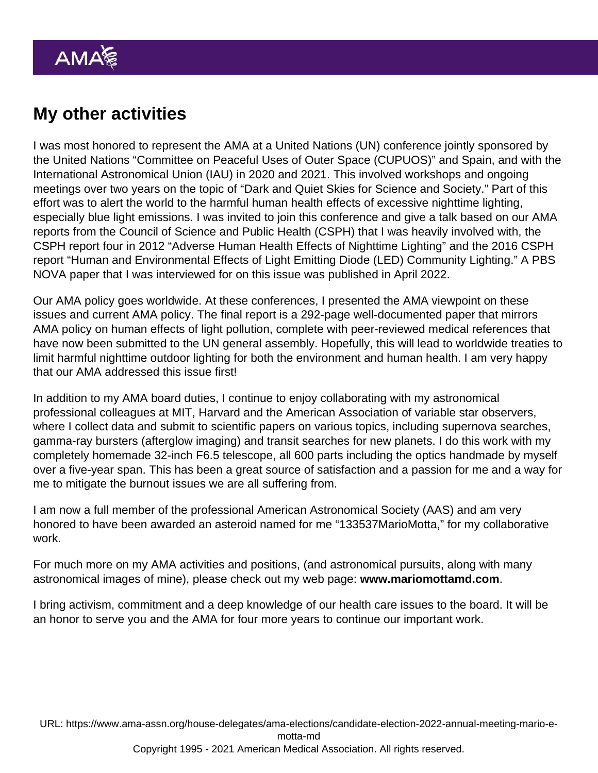### My other activities

I was most honored to represent the AMA at a United Nations (UN) conference jointly sponsored by the United Nations "Committee on Peaceful Uses of Outer Space (CUPUOS)" and Spain, and with the International Astronomical Union (IAU) in 2020 and 2021. This involved workshops and ongoing meetings over two years on the topic of "Dark and Quiet Skies for Science and Society." Part of this effort was to alert the world to the harmful human health effects of excessive nighttime lighting, especially blue light emissions. I was invited to join this conference and give a talk based on our AMA reports from the Council of Science and Public Health (CSPH) that I was heavily involved with, the CSPH report four in 2012 "Adverse Human Health Effects of Nighttime Lighting" and the 2016 CSPH report "Human and Environmental Effects of Light Emitting Diode (LED) Community Lighting." A PBS NOVA paper that I was interviewed for on this issue was published in April 2022.

Our AMA policy goes worldwide. At these conferences, I presented the AMA viewpoint on these issues and current AMA policy. The final report is a 292-page well-documented paper that mirrors AMA policy on human effects of light pollution, complete with peer-reviewed medical references that have now been submitted to the UN general assembly. Hopefully, this will lead to worldwide treaties to limit harmful nighttime outdoor lighting for both the environment and human health. I am very happy that our AMA addressed this issue first!

In addition to my AMA board duties, I continue to enjoy collaborating with my astronomical professional colleagues at MIT, Harvard and the American Association of variable star observers, where I collect data and submit to scientific papers on various topics, including supernova searches, gamma-ray bursters (afterglow imaging) and transit searches for new planets. I do this work with my completely homemade 32-inch F6.5 telescope, all 600 parts including the optics handmade by myself over a five-year span. This has been a great source of satisfaction and a passion for me and a way for me to mitigate the burnout issues we are all suffering from.

I am now a full member of the professional American Astronomical Society (AAS) and am very honored to have been awarded an asteroid named for me "133537MarioMotta," for my collaborative work.

For much more on my AMA activities and positions, (and astronomical pursuits, along with many astronomical images of mine), please check out my web page: www.mariomottamd.com .

I bring activism, commitment and a deep knowledge of our health care issues to the board. It will be an honor to serve you and the AMA for four more years to continue our important work.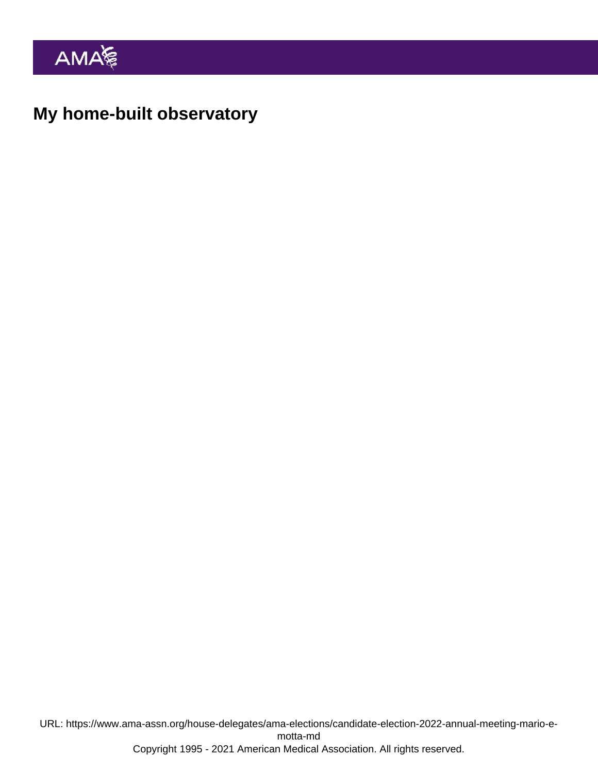My home-built observatory